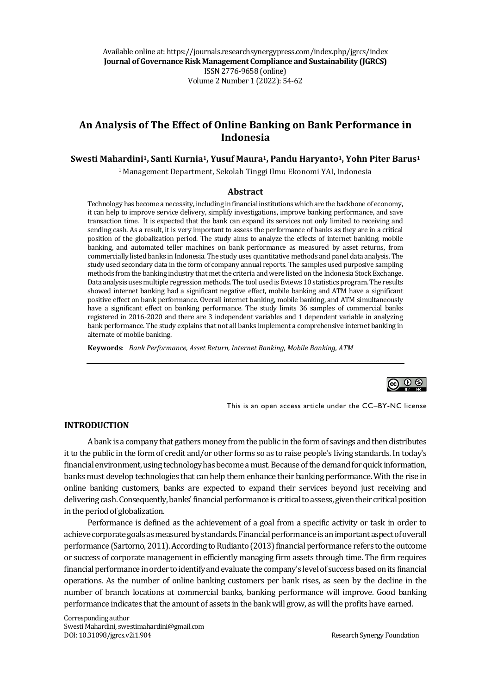Available online at: https://journals.researchsynergypress.com/index.php/jgrcs/index **Journal of Governance Risk Management Compliance and Sustainability (JGRCS)** ISSN 2776-9658 (online) Volume 2Number 1 (2022): 54-62

# **An Analysis of The Effect of Online Banking on Bank Performance in Indonesia**

#### **Swesti Mahardini1, Santi Kurnia1, Yusuf Maura1, Pandu Haryanto1, Yohn Piter Barus<sup>1</sup>**

<sup>1</sup> Management Department, Sekolah Tinggi Ilmu Ekonomi YAI, Indonesia

#### **Abstract**

Technology has become a necessity, including in financial institutions which are the backbone of economy, it can help to improve service delivery, simplify investigations, improve banking performance, and save transaction time. It is expected that the bank can expand its services not only limited to receiving and sending cash. As a result, it is very important to assess the performance of banks as they are in a critical position of the globalization period. The study aims to analyze the effects of internet banking, mobile banking, and automated teller machines on bank performance as measured by asset returns, from commercially listed banks in Indonesia. The study uses quantitative methods and panel data analysis. The study used secondary data in the form of company annual reports. The samples used purposive sampling methods from the banking industry that met the criteria and were listed on the Indonesia Stock Exchange. Data analysis uses multiple regression methods. The tool used is Eviews 10 statistics program. The results showed internet banking had a significant negative effect, mobile banking and ATM have a significant positive effect on bank performance. Overall internet banking, mobile banking, and ATM simultaneously have a significant effect on banking performance. The study limits 36 samples of commercial banks registered in 2016-2020 and there are 3 independent variables and 1 dependent variable in analyzing bank performance. The study explains that not all banks implement a comprehensive internet banking in alternate of mobile banking.

**Keywords**: *Bank Performance, Asset Return, Internet Banking, Mobile Banking, ATM*



This is an open access article under the CC–BY-NC license

#### **INTRODUCTION**

A bank is a company that gathers money from the public in the form of savings and then distributes it to the public in the form of credit and/or other forms so as to raise people's living standards. In today's financial environment, using technology has become a must. Because of the demand for quick information, banks must develop technologies that can help them enhance their banking performance. With the rise in online banking customers, banks are expected to expand their services beyond just receiving and delivering cash. Consequently, banks' financial performance is critical to assess, given their critical position in the period of globalization.

Performance is defined as the achievement of a goal from a specific activity or task in order to achieve corporate goals as measured by standards. Financial performance is an important aspect of overall performance (Sartorno, 2011). According to Rudianto (2013) financial performance refers to the outcome or success of corporate management in efficiently managing firm assets through time. The firm requires financial performance in order to identify and evaluate the company's level of success based on its financial operations. As the number of online banking customers per bank rises, as seen by the decline in the number of branch locations at commercial banks, banking performance will improve. Good banking performance indicates that the amount of assets in the bank will grow, as will the profits have earned.

Corresponding author Swesti Mahardini, swestimahardini@gmail.com DOI: 10.31098/jgrcs.v2i1.904 Research Synergy Foundation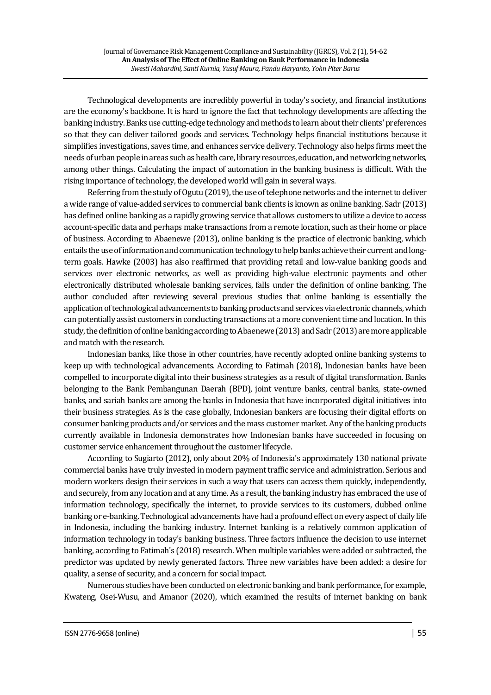Technological developments are incredibly powerful in today's society, and financial institutions are the economy's backbone. It is hard to ignore the fact that technology developments are affecting the banking industry. Banks use cutting-edge technology and methods to learn about their clients' preferences so that they can deliver tailored goods and services. Technology helps financial institutions because it simplifies investigations, saves time, and enhances service delivery. Technology also helps firms meet the needs of urban people in areas such as health care, library resources, education, and networking networks, among other things. Calculating the impact of automation in the banking business is difficult. With the rising importance of technology, the developed world will gain in several ways.

Referring from the study of Ogutu (2019), the use of telephone networks and the internet to deliver a wide range of value-added services to commercial bank clients is known as online banking. Sadr (2013) has defined online banking as a rapidly growing service that allows customers to utilize a device to access account-specific data and perhaps make transactions from a remote location, such as their home or place of business. According to Abaenewe (2013), online banking is the practice of electronic banking, which entails the use of information and communication technology to help banks achieve their current and longterm goals. Hawke (2003) has also reaffirmed that providing retail and low-value banking goods and services over electronic networks, as well as providing high-value electronic payments and other electronically distributed wholesale banking services, falls under the definition of online banking. The author concluded after reviewing several previous studies that online banking is essentially the application of technological advancements to banking products andservices via electronic channels, which can potentially assist customers in conducting transactions at a more convenient time and location. In this study, the definition of online banking according to Abaenewe (2013) and Sadr (2013) are more applicable and match with the research.

Indonesian banks, like those in other countries, have recently adopted online banking systems to keep up with technological advancements. According to Fatimah (2018), Indonesian banks have been compelled to incorporate digital into their business strategies as a result of digital transformation. Banks belonging to the Bank Pembangunan Daerah (BPD), joint venture banks, central banks, state-owned banks, and sariah banks are among the banks in Indonesia that have incorporated digital initiatives into their business strategies. As is the case globally, Indonesian bankers are focusing their digital efforts on consumer banking products and/or services and the mass customer market. Any of the banking products currently available in Indonesia demonstrates how Indonesian banks have succeeded in focusing on customer service enhancement throughout the customer lifecycle.

According to Sugiarto (2012), only about 20% of Indonesia's approximately 130 national private commercial banks have truly invested in modern payment traffic service and administration. Serious and modern workers design their services in such a way that users can access them quickly, independently, and securely, from any location and at any time. As a result, the banking industry has embraced the use of information technology, specifically the internet, to provide services to its customers, dubbed online banking or e-banking. Technological advancements have had a profound effect on every aspect of daily life in Indonesia, including the banking industry. Internet banking is a relatively common application of information technology in today's banking business. Three factors influence the decision to use internet banking, according to Fatimah's (2018) research. When multiple variables were added or subtracted, the predictor was updated by newly generated factors. Three new variables have been added: a desire for quality, a sense of security, and a concern for social impact.

Numerous studies have been conducted on electronic banking and bank performance, for example, Kwateng, Osei-Wusu, and Amanor (2020), which examined the results of internet banking on bank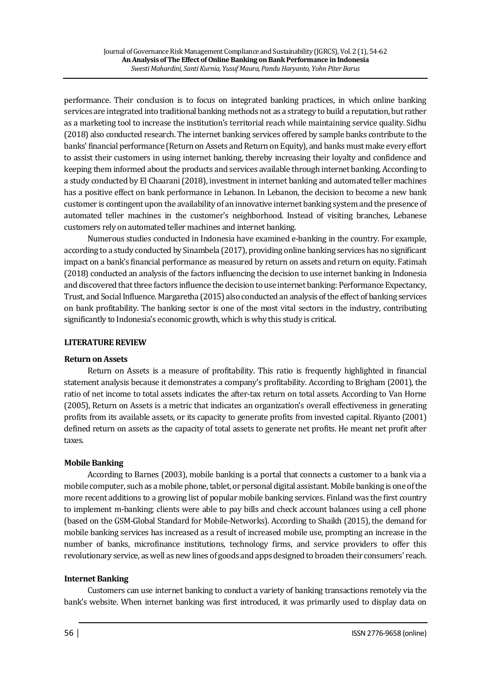performance. Their conclusion is to focus on integrated banking practices, in which online banking services are integrated into traditional banking methods not as a strategy to build a reputation, but rather as a marketing tool to increase the institution's territorial reach while maintaining service quality. Sidhu (2018) also conducted research. The internet banking services offered by sample banks contribute to the banks' financial performance (Return on Assets and Return on Equity), and banks must make every effort to assist their customers in using internet banking, thereby increasing their loyalty and confidence and keeping them informed about the products and services available through internet banking. According to a study conducted by El Chaarani (2018), investment in internet banking and automated teller machines has a positive effect on bank performance in Lebanon. In Lebanon, the decision to become a new bank customer is contingent upon the availability of an innovative internet banking system and the presence of automated teller machines in the customer's neighborhood. Instead of visiting branches, Lebanese customers rely on automated teller machines and internet banking.

Numerous studies conducted in Indonesia have examined e-banking in the country. For example, according to a study conducted by Sinambela (2017), providing online banking services has no significant impact on a bank's financial performance as measured by return on assets and return on equity. Fatimah (2018) conducted an analysis of the factors influencing the decision to use internet banking in Indonesia and discovered that three factors influence the decision to use internet banking: Performance Expectancy, Trust, and Social Influence. Margaretha (2015) also conducted an analysis of the effect of banking services on bank profitability. The banking sector is one of the most vital sectors in the industry, contributing significantly to Indonesia's economic growth, which is why this study is critical.

## **LITERATURE REVIEW**

## **Return on Assets**

Return on Assets is a measure of profitability. This ratio is frequently highlighted in financial statement analysis because it demonstrates a company's profitability. According to Brigham (2001), the ratio of net income to total assets indicates the after-tax return on total assets. According to Van Horne (2005), Return on Assets is a metric that indicates an organization's overall effectiveness in generating profits from its available assets, or its capacity to generate profits from invested capital. Riyanto (2001) defined return on assets as the capacity of total assets to generate net profits. He meant net profit after taxes.

# **Mobile Banking**

According to Barnes (2003), mobile banking is a portal that connects a customer to a bank via a mobile computer, such as a mobile phone, tablet, or personal digital assistant. Mobile banking is one of the more recent additions to a growing list of popular mobile banking services. Finland was the first country to implement m-banking; clients were able to pay bills and check account balances using a cell phone (based on the GSM-Global Standard for Mobile-Networks). According to Shaikh (2015), the demand for mobile banking services has increased as a result of increased mobile use, prompting an increase in the number of banks, microfinance institutions, technology firms, and service providers to offer this revolutionary service, as well as new lines of goods and apps designed to broaden their consumers' reach.

## **Internet Banking**

Customers can use internet banking to conduct a variety of banking transactions remotely via the bank's website. When internet banking was first introduced, it was primarily used to display data on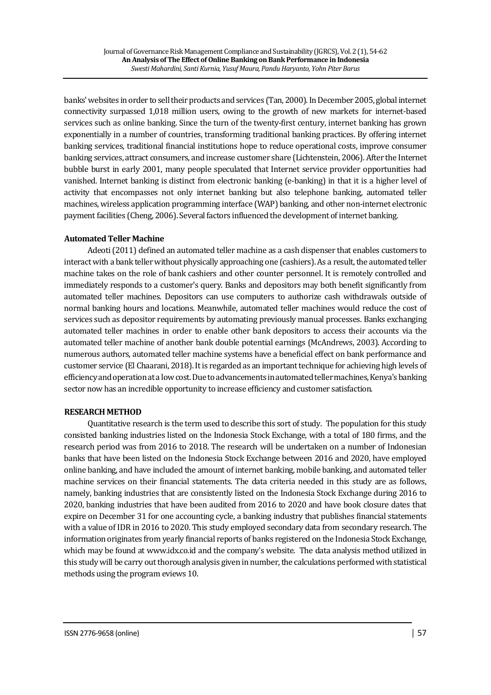banks' websites in order to sell their products and services (Tan, 2000). In December 2005, global internet connectivity surpassed 1,018 million users, owing to the growth of new markets for internet-based services such as online banking. Since the turn of the twenty-first century, internet banking has grown exponentially in a number of countries, transforming traditional banking practices. By offering internet banking services, traditional financial institutions hope to reduce operational costs, improve consumer banking services, attract consumers, and increase customer share (Lichtenstein, 2006). After the Internet bubble burst in early 2001, many people speculated that Internet service provider opportunities had vanished. Internet banking is distinct from electronic banking (e-banking) in that it is a higher level of activity that encompasses not only internet banking but also telephone banking, automated teller machines, wireless application programming interface (WAP) banking, and other non-internet electronic payment facilities (Cheng, 2006). Several factors influenced the development of internet banking.

# **Automated Teller Machine**

Adeoti(2011) defined an automated teller machine as a cash dispenser that enables customers to interact with a bank teller without physically approaching one (cashiers). As a result, the automated teller machine takes on the role of bank cashiers and other counter personnel. It is remotely controlled and immediately responds to a customer's query. Banks and depositors may both benefit significantly from automated teller machines. Depositors can use computers to authorize cash withdrawals outside of normal banking hours and locations. Meanwhile, automated teller machines would reduce the cost of services such as depositor requirements by automating previously manual processes. Banks exchanging automated teller machines in order to enable other bank depositors to access their accounts via the automated teller machine of another bank double potential earnings (McAndrews, 2003). According to numerous authors, automated teller machine systems have a beneficial effect on bank performance and customer service (El Chaarani, 2018). It is regarded as an important technique for achieving high levels of efficiency and operation at a low cost. Due to advancements in automated teller machines, Kenya's banking sector now has an incredible opportunity to increase efficiency and customer satisfaction.

## **RESEARCH METHOD**

Quantitative research is the term used to describe this sort of study. The population for this study consisted banking industries listed on the Indonesia Stock Exchange, with a total of 180 firms, and the research period was from 2016 to 2018. The research will be undertaken on a number of Indonesian banks that have been listed on the Indonesia Stock Exchange between 2016 and 2020, have employed online banking, and have included the amount of internet banking, mobile banking, and automated teller machine services on their financial statements. The data criteria needed in this study are as follows, namely, banking industries that are consistently listed on the Indonesia Stock Exchange during 2016 to 2020, banking industries that have been audited from 2016 to 2020 and have book closure dates that expire on December 31 for one accounting cycle, a banking industry that publishes financial statements with a value of IDR in 2016 to 2020. This study employed secondary data from secondary research. The information originates from yearly financial reports of banks registered on the Indonesia Stock Exchange, which may be found at www.idx.co.id and the company's website. The data analysis method utilized in this study will be carry out thorough analysis given in number, the calculations performed with statistical methods using the program eviews 10.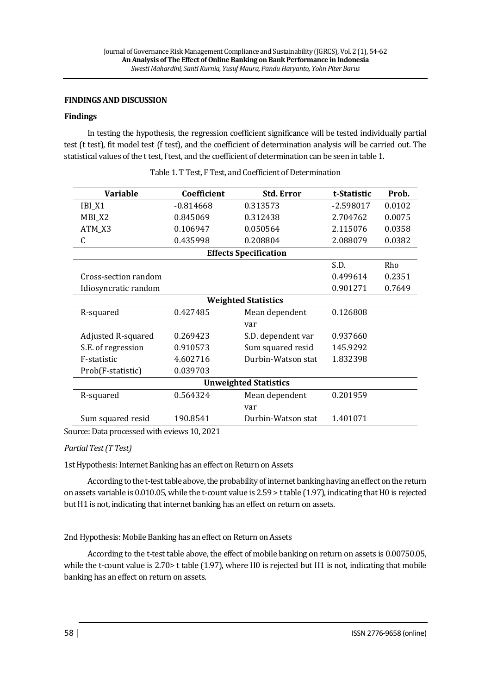#### **FINDINGS AND DISCUSSION**

#### **Findings**

In testing the hypothesis, the regression coefficient significance will be tested individually partial test (t test), fit model test (f test), and the coefficient of determination analysis will be carried out. The statistical values of the t test, f test, and the coefficient of determination can be seen in table 1.

| <b>Variable</b>              | Coefficient | <b>Std. Error</b>  | t-Statistic | Prob.  |
|------------------------------|-------------|--------------------|-------------|--------|
| IBI_X1                       | $-0.814668$ | 0.313573           | $-2.598017$ | 0.0102 |
| MBI_X2                       | 0.845069    | 0.312438           | 2.704762    | 0.0075 |
| ATM_X3                       | 0.106947    | 0.050564           | 2.115076    | 0.0358 |
| $\mathsf{C}$                 | 0.435998    | 0.208804           | 2.088079    | 0.0382 |
| <b>Effects Specification</b> |             |                    |             |        |
|                              |             |                    | S.D.        | Rho    |
| Cross-section random         |             |                    | 0.499614    | 0.2351 |
| Idiosyncratic random         |             |                    | 0.901271    | 0.7649 |
| <b>Weighted Statistics</b>   |             |                    |             |        |
| R-squared                    | 0.427485    | Mean dependent     | 0.126808    |        |
|                              |             | var                |             |        |
| Adjusted R-squared           | 0.269423    | S.D. dependent var | 0.937660    |        |
| S.E. of regression           | 0.910573    | Sum squared resid  | 145.9292    |        |
| F-statistic                  | 4.602716    | Durbin-Watson stat | 1.832398    |        |
| Prob(F-statistic)            | 0.039703    |                    |             |        |
| <b>Unweighted Statistics</b> |             |                    |             |        |
| R-squared                    | 0.564324    | Mean dependent     | 0.201959    |        |
|                              |             | var                |             |        |
| Sum squared resid            | 190.8541    | Durbin-Watson stat | 1.401071    |        |

Table 1. T Test, F Test, and Coefficient of Determination

Source: Data processed with eviews 10, 2021

## *Partial Test (T Test)*

1st Hypothesis: Internet Banking has an effect on Return on Assets

According to the t-test table above, the probability of internet banking having an effect on the return on assets variable is 0.010.05, while the t-count value is 2.59 > t table (1.97), indicating that H0 is rejected but H1 is not, indicating that internet banking has an effect on return on assets.

2nd Hypothesis: Mobile Banking has an effect on Return on Assets

According to the t-test table above, the effect of mobile banking on return on assets is 0.00750.05, while the t-count value is 2.70 t table (1.97), where H0 is rejected but H1 is not, indicating that mobile banking has an effect on return on assets.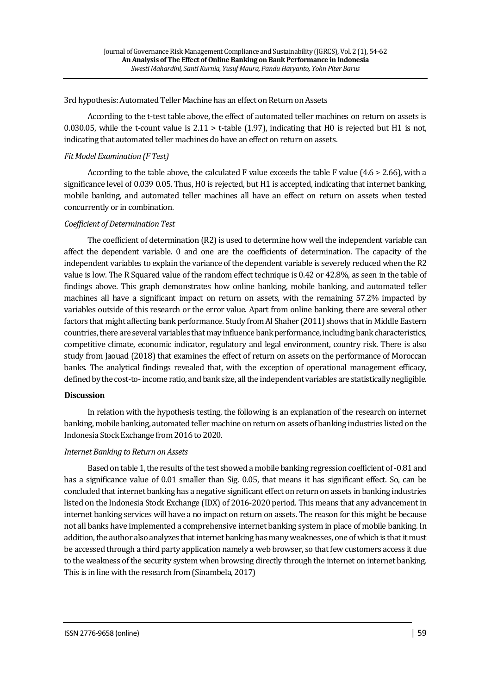3rd hypothesis: Automated Teller Machine has an effect on Return on Assets

According to the t-test table above, the effect of automated teller machines on return on assets is 0.030.05, while the t-count value is  $2.11 >$  t-table (1.97), indicating that H0 is rejected but H1 is not, indicating that automated teller machines do have an effect on return on assets.

## *Fit Model Examination (F Test)*

According to the table above, the calculated F value exceeds the table F value (4.6 > 2.66), with a significance level of 0.039 0.05. Thus, H0 is rejected, but H1 is accepted, indicating that internet banking, mobile banking, and automated teller machines all have an effect on return on assets when tested concurrently or in combination.

## *Coefficient of Determination Test*

The coefficient of determination (R2) is used to determine how well the independent variable can affect the dependent variable. 0 and one are the coefficients of determination. The capacity of the independent variables to explain the variance of the dependent variable is severely reduced when the R2 value is low. The R Squared value of the random effect technique is 0.42 or 42.8%, as seen in the table of findings above. This graph demonstrates how online banking, mobile banking, and automated teller machines all have a significant impact on return on assets, with the remaining 57.2% impacted by variables outside of this research or the error value. Apart from online banking, there are several other factors that might affecting bank performance. Study from Al Shaher (2011) shows that in Middle Eastern countries, there are several variables that may influence bank performance, including bank characteristics, competitive climate, economic indicator, regulatory and legal environment, country risk. There is also study from Jaouad (2018) that examines the effect of return on assets on the performance of Moroccan banks. The analytical findings revealed that, with the exception of operational management efficacy, defined by the cost-to-income ratio, and bank size, all the independent variables are statistically negligible.

## **Discussion**

In relation with the hypothesis testing, the following is an explanation of the research on internet banking, mobile banking, automated teller machine on return on assets of banking industries listed on the Indonesia Stock Exchange from 2016 to 2020.

## *Internet Banking to Return on Assets*

Based on table 1, the results of the test showed a mobile banking regression coefficient of -0.81 and has a significance value of 0.01 smaller than Sig. 0.05, that means it has significant effect. So, can be concluded that internet banking has a negative significant effect on return on assets in banking industries listed on the Indonesia Stock Exchange (IDX) of 2016-2020 period. This means that any advancement in internet banking services will have a no impact on return on assets. The reason for this might be because not all banks have implemented a comprehensive internet banking system in place of mobile banking. In addition, the author also analyzes that internet banking has many weaknesses, one of which is that it must be accessed through a third party application namely a web browser, so that few customers access it due to the weakness of the security system when browsing directly through the internet on internet banking. This is in line with the research from (Sinambela, 2017)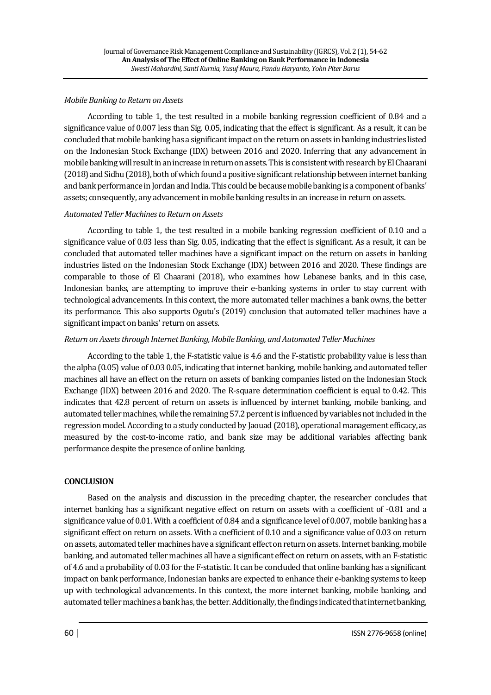#### *Mobile Banking to Return on Assets*

According to table 1, the test resulted in a mobile banking regression coefficient of 0.84 and a significance value of 0.007 less than Sig. 0.05, indicating that the effect is significant. As a result, it can be concluded that mobile banking has a significant impact on the return on assets in banking industries listed on the Indonesian Stock Exchange (IDX) between 2016 and 2020. Inferring that any advancement in mobile banking will result in an increase in return on assets. This is consistent with research by El Chaarani (2018) and Sidhu (2018), both of which found a positive significant relationship between internet banking and bank performance in Jordan and India. This could be because mobile banking is a component of banks' assets; consequently, any advancement in mobile banking results in an increase in return on assets.

## *Automated Teller Machines to Return on Assets*

According to table 1, the test resulted in a mobile banking regression coefficient of 0.10 and a significance value of 0.03 less than Sig. 0.05, indicating that the effect is significant. As a result, it can be concluded that automated teller machines have a significant impact on the return on assets in banking industries listed on the Indonesian Stock Exchange (IDX) between 2016 and 2020. These findings are comparable to those of El Chaarani (2018), who examines how Lebanese banks, and in this case, Indonesian banks, are attempting to improve their e-banking systems in order to stay current with technological advancements. In this context, the more automated teller machines a bank owns, the better its performance. This also supports Ogutu's (2019) conclusion that automated teller machines have a significant impact on banks' return on assets.

## *Return on Assets through Internet Banking, Mobile Banking, and Automated Teller Machines*

According to the table 1, the F-statistic value is 4.6 and the F-statistic probability value is less than the alpha (0.05) value of 0.03 0.05, indicating that internet banking, mobile banking, and automated teller machines all have an effect on the return on assets of banking companies listed on the Indonesian Stock Exchange (IDX) between 2016 and 2020. The R-square determination coefficient is equal to 0.42. This indicates that 42.8 percent of return on assets is influenced by internet banking, mobile banking, and automated teller machines, while the remaining 57.2 percent is influenced by variables not included in the regression model. According to a study conducted by Jaouad (2018), operational management efficacy, as measured by the cost-to-income ratio, and bank size may be additional variables affecting bank performance despite the presence of online banking.

## **CONCLUSION**

Based on the analysis and discussion in the preceding chapter, the researcher concludes that internet banking has a significant negative effect on return on assets with a coefficient of -0.81 and a significance value of 0.01. With a coefficient of 0.84 and a significance level of 0.007, mobile banking has a significant effect on return on assets. With a coefficient of 0.10 and a significance value of 0.03 on return on assets, automated teller machines have a significant effect on return onassets. Internet banking, mobile banking, and automated teller machines all have a significant effect on return on assets, with an F-statistic of 4.6 and a probability of 0.03 for the F-statistic. It can be concluded that online banking has a significant impact on bank performance, Indonesian banks are expected to enhance their e-banking systems to keep up with technological advancements. In this context, the more internet banking, mobile banking, and automated teller machines a bank has, the better. Additionally, the findings indicated that internet banking,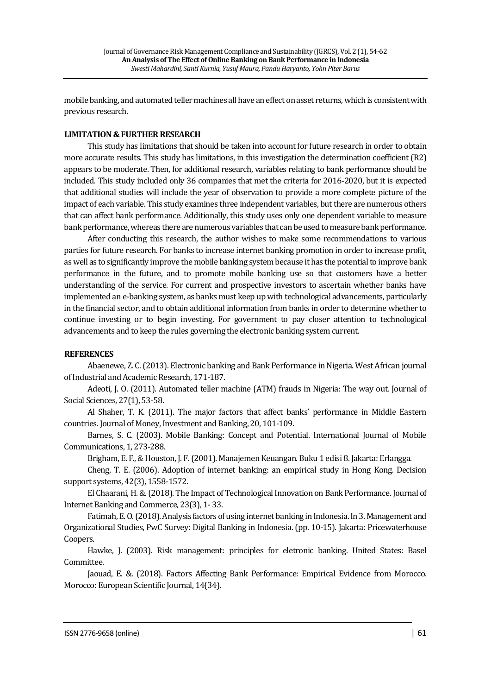mobile banking, and automated teller machines all have an effect on asset returns, which is consistent with previous research.

## **LIMITATION & FURTHER RESEARCH**

This study has limitations that should be taken into account for future research in order to obtain more accurate results. This study has limitations, in this investigation the determination coefficient (R2) appears to be moderate. Then, for additional research, variables relating to bank performance should be included. This study included only 36 companies that met the criteria for 2016-2020, but it is expected that additional studies will include the year of observation to provide a more complete picture of the impact of each variable. This study examines three independent variables, but there are numerous others that can affect bank performance. Additionally, this study uses only one dependent variable to measure bank performance, whereas there are numerous variables that can be used to measure bank performance.

After conducting this research, the author wishes to make some recommendations to various parties for future research. For banks to increase internet banking promotion in order to increase profit, as well as to significantly improve the mobile banking system because it has the potential to improve bank performance in the future, and to promote mobile banking use so that customers have a better understanding of the service. For current and prospective investors to ascertain whether banks have implemented an e-banking system, as banks must keep up with technological advancements, particularly in the financial sector, and to obtain additional information from banks in order to determine whether to continue investing or to begin investing. For government to pay closer attention to technological advancements and to keep the rules governing the electronic banking system current.

## **REFERENCES**

Abaenewe, Z. C. (2013). Electronic banking and Bank Performance in Nigeria. West African journal of Industrial and Academic Research, 171-187.

Adeoti, J. O. (2011). Automated teller machine (ATM) frauds in Nigeria: The way out. Journal of Social Sciences, 27(1), 53-58.

Al Shaher, T. K. (2011). The major factors that affect banks' performance in Middle Eastern countries. Journal of Money, Investment and Banking, 20, 101-109.

Barnes, S. C. (2003). Mobile Banking: Concept and Potential. International Journal of Mobile Communications, 1, 273-288.

Brigham, E. F., & Houston, J. F. (2001). Manajemen Keuangan. Buku 1 edisi 8. Jakarta: Erlangga.

Cheng, T. E. (2006). Adoption of internet banking: an empirical study in Hong Kong. Decision support systems, 42(3), 1558-1572.

El Chaarani, H. &. (2018). The Impact of Technological Innovation on Bank Performance. Journal of Internet Banking and Commerce, 23(3), 1- 33.

Fatimah, E. O. (2018). Analysis factors of using internet banking in Indonesia. In 3. Management and Organizational Studies, PwC Survey: Digital Banking in Indonesia. (pp. 10-15). Jakarta: Pricewaterhouse Coopers.

Hawke, J. (2003). Risk management: principles for eletronic banking. United States: Basel Committee.

Jaouad, E. &. (2018). Factors Affecting Bank Performance: Empirical Evidence from Morocco. Morocco: European Scientific Journal, 14(34).